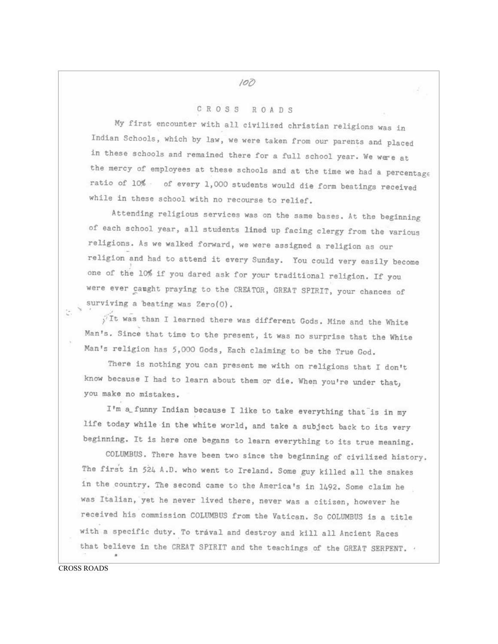## $100$

## CROSS ROADS

My first encounter with all civilized christian religions was in Indian Schools, which by law, we were taken from our parents and placed in these schools and remained there for a full school year. We were at the mercy of employees at these schools and at the time we had a percentage ratio of 10% of every 1,000 students would die form beatings received while in these school with no recourse to relief.

Attending religious services was on the same bases. At the beginning of each school year, all students lined up facing clergy from the various religions. As we walked forward, we were assigned a religion as our religion and had to attend it every Sunday. You could very easily become one of the 10% if you dared ask for your traditional religion. If you were ever caught praying to the CREATOR, GREAT SPIRIT, your chances of surviving a beating was Zero(0).

Tt was than I learned there was different Gods. Mine and the White Man's. Since that time to the present, it was no surprise that the White Man's religion has 5,000 Gods, Each claiming to be the True God.

There is nothing you can present me with on religions that I don't know because I had to learn about them or die. When you're under that, you make no mistakes.

I'm a funny Indian because I like to take everything that is in my life today while in the white world, and take a subject back to its very beginning. It is here one begans to learn everything to its true meaning.

COLUMBUS. There have been two since the beginning of civilized history. The first in 524 A.D. who went to Ireland. Some guy killed all the snakes in the country. The second came to the America's in 1492. Some claim he was Italian, yet he never lived there, never was a citizen, however he received his commission COLUMBUS from the Vatican. So COLUMBUS is a title with a specific duty. To traval and destroy and kill all Ancient Races that believe in the CREAT SPIRIT and the teachings of the GREAT SERPENT.

 $\mathcal{L}_{\mathcal{L}}$